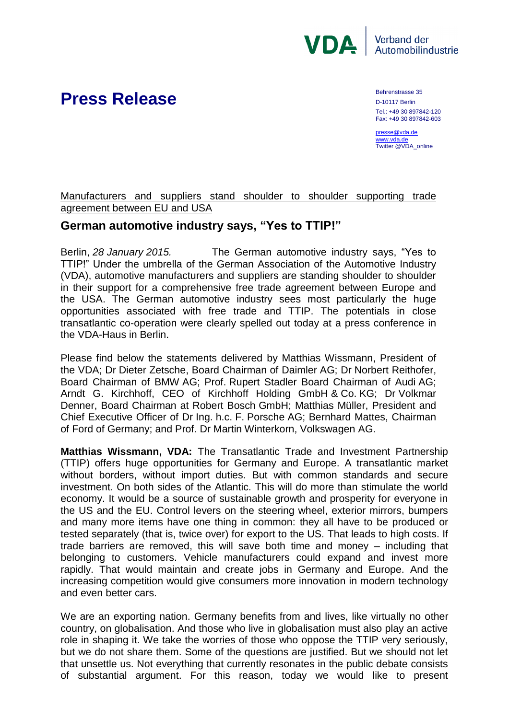

## **Press Release** Behrenstrasse 35

D-10117 Berlin Tel.: +49 30 897842-120 Fax: +49 30 897842-603

[presse@vda.de](mailto:presse@vda.de) [www.vda.de](http://www.vda.de/) Twitter @VDA\_online

## Manufacturers and suppliers stand shoulder to shoulder supporting trade agreement between EU and USA

## **German automotive industry says, "Yes to TTIP!"**

Berlin, *28 January 2015.* The German automotive industry says, "Yes to TTIP!" Under the umbrella of the German Association of the Automotive Industry (VDA), automotive manufacturers and suppliers are standing shoulder to shoulder in their support for a comprehensive free trade agreement between Europe and the USA. The German automotive industry sees most particularly the huge opportunities associated with free trade and TTIP. The potentials in close transatlantic co-operation were clearly spelled out today at a press conference in the VDA-Haus in Berlin.

Please find below the statements delivered by Matthias Wissmann, President of the VDA; Dr Dieter Zetsche, Board Chairman of Daimler AG; Dr Norbert Reithofer, Board Chairman of BMW AG; Prof. Rupert Stadler Board Chairman of Audi AG; Arndt G. Kirchhoff, CEO of Kirchhoff Holding GmbH & Co. KG; Dr Volkmar Denner, Board Chairman at Robert Bosch GmbH; Matthias Müller, President and Chief Executive Officer of Dr Ing. h.c. F. Porsche AG; Bernhard Mattes, Chairman of Ford of Germany; and Prof. Dr Martin Winterkorn, Volkswagen AG.

**Matthias Wissmann, VDA:** The Transatlantic Trade and Investment Partnership (TTIP) offers huge opportunities for Germany and Europe. A transatlantic market without borders, without import duties. But with common standards and secure investment. On both sides of the Atlantic. This will do more than stimulate the world economy. It would be a source of sustainable growth and prosperity for everyone in the US and the EU. Control levers on the steering wheel, exterior mirrors, bumpers and many more items have one thing in common: they all have to be produced or tested separately (that is, twice over) for export to the US. That leads to high costs. If trade barriers are removed, this will save both time and money – including that belonging to customers. Vehicle manufacturers could expand and invest more rapidly. That would maintain and create jobs in Germany and Europe. And the increasing competition would give consumers more innovation in modern technology and even better cars.

We are an exporting nation. Germany benefits from and lives, like virtually no other country, on globalisation. And those who live in globalisation must also play an active role in shaping it. We take the worries of those who oppose the TTIP very seriously, but we do not share them. Some of the questions are justified. But we should not let that unsettle us. Not everything that currently resonates in the public debate consists of substantial argument. For this reason, today we would like to present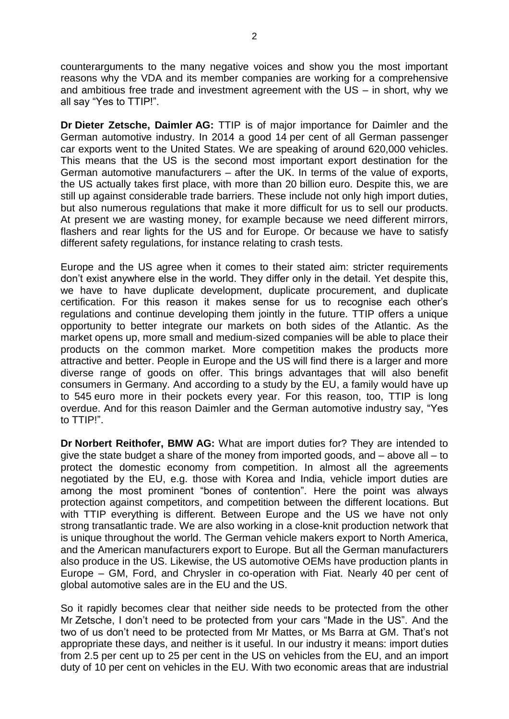counterarguments to the many negative voices and show you the most important reasons why the VDA and its member companies are working for a comprehensive and ambitious free trade and investment agreement with the US – in short, why we all say "Yes to TTIP!".

**Dr Dieter Zetsche, Daimler AG:** TTIP is of major importance for Daimler and the German automotive industry. In 2014 a good 14 per cent of all German passenger car exports went to the United States. We are speaking of around 620,000 vehicles. This means that the US is the second most important export destination for the German automotive manufacturers – after the UK. In terms of the value of exports, the US actually takes first place, with more than 20 billion euro. Despite this, we are still up against considerable trade barriers. These include not only high import duties, but also numerous regulations that make it more difficult for us to sell our products. At present we are wasting money, for example because we need different mirrors, flashers and rear lights for the US and for Europe. Or because we have to satisfy different safety regulations, for instance relating to crash tests.

Europe and the US agree when it comes to their stated aim: stricter requirements don't exist anywhere else in the world. They differ only in the detail. Yet despite this, we have to have duplicate development, duplicate procurement, and duplicate certification. For this reason it makes sense for us to recognise each other's regulations and continue developing them jointly in the future. TTIP offers a unique opportunity to better integrate our markets on both sides of the Atlantic. As the market opens up, more small and medium-sized companies will be able to place their products on the common market. More competition makes the products more attractive and better. People in Europe and the US will find there is a larger and more diverse range of goods on offer. This brings advantages that will also benefit consumers in Germany. And according to a study by the EU, a family would have up to 545 euro more in their pockets every year. For this reason, too, TTIP is long overdue. And for this reason Daimler and the German automotive industry say, "Yes to TTIP!".

**Dr Norbert Reithofer, BMW AG:** What are import duties for? They are intended to give the state budget a share of the money from imported goods, and – above all – to protect the domestic economy from competition. In almost all the agreements negotiated by the EU, e.g. those with Korea and India, vehicle import duties are among the most prominent "bones of contention". Here the point was always protection against competitors, and competition between the different locations. But with TTIP everything is different. Between Europe and the US we have not only strong transatlantic trade. We are also working in a close-knit production network that is unique throughout the world. The German vehicle makers export to North America, and the American manufacturers export to Europe. But all the German manufacturers also produce in the US. Likewise, the US automotive OEMs have production plants in Europe – GM, Ford, and Chrysler in co-operation with Fiat. Nearly 40 per cent of global automotive sales are in the EU and the US.

So it rapidly becomes clear that neither side needs to be protected from the other Mr Zetsche, I don't need to be protected from your cars "Made in the US". And the two of us don't need to be protected from Mr Mattes, or Ms Barra at GM. That's not appropriate these days, and neither is it useful. In our industry it means: import duties from 2.5 per cent up to 25 per cent in the US on vehicles from the EU, and an import duty of 10 per cent on vehicles in the EU. With two economic areas that are industrial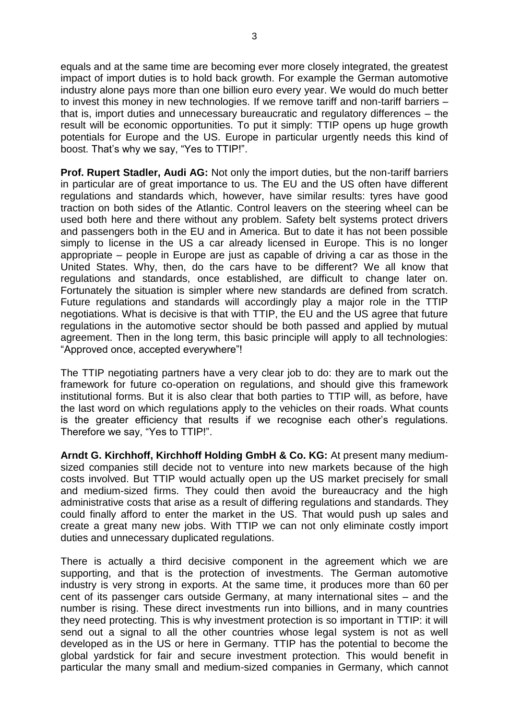equals and at the same time are becoming ever more closely integrated, the greatest impact of import duties is to hold back growth. For example the German automotive industry alone pays more than one billion euro every year. We would do much better to invest this money in new technologies. If we remove tariff and non-tariff barriers – that is, import duties and unnecessary bureaucratic and regulatory differences – the result will be economic opportunities. To put it simply: TTIP opens up huge growth potentials for Europe and the US. Europe in particular urgently needs this kind of boost. That's why we say, "Yes to TTIP!".

**Prof. Rupert Stadler, Audi AG:** Not only the import duties, but the non-tariff barriers in particular are of great importance to us. The EU and the US often have different regulations and standards which, however, have similar results: tyres have good traction on both sides of the Atlantic. Control leavers on the steering wheel can be used both here and there without any problem. Safety belt systems protect drivers and passengers both in the EU and in America. But to date it has not been possible simply to license in the US a car already licensed in Europe. This is no longer appropriate – people in Europe are just as capable of driving a car as those in the United States. Why, then, do the cars have to be different? We all know that regulations and standards, once established, are difficult to change later on. Fortunately the situation is simpler where new standards are defined from scratch. Future regulations and standards will accordingly play a major role in the TTIP negotiations. What is decisive is that with TTIP, the EU and the US agree that future regulations in the automotive sector should be both passed and applied by mutual agreement. Then in the long term, this basic principle will apply to all technologies: "Approved once, accepted everywhere"!

The TTIP negotiating partners have a very clear job to do: they are to mark out the framework for future co-operation on regulations, and should give this framework institutional forms. But it is also clear that both parties to TTIP will, as before, have the last word on which regulations apply to the vehicles on their roads. What counts is the greater efficiency that results if we recognise each other's regulations. Therefore we say, "Yes to TTIP!".

**Arndt G. Kirchhoff, Kirchhoff Holding GmbH & Co. KG:** At present many mediumsized companies still decide not to venture into new markets because of the high costs involved. But TTIP would actually open up the US market precisely for small and medium-sized firms. They could then avoid the bureaucracy and the high administrative costs that arise as a result of differing regulations and standards. They could finally afford to enter the market in the US. That would push up sales and create a great many new jobs. With TTIP we can not only eliminate costly import duties and unnecessary duplicated regulations.

There is actually a third decisive component in the agreement which we are supporting, and that is the protection of investments. The German automotive industry is very strong in exports. At the same time, it produces more than 60 per cent of its passenger cars outside Germany, at many international sites – and the number is rising. These direct investments run into billions, and in many countries they need protecting. This is why investment protection is so important in TTIP: it will send out a signal to all the other countries whose legal system is not as well developed as in the US or here in Germany. TTIP has the potential to become the global yardstick for fair and secure investment protection. This would benefit in particular the many small and medium-sized companies in Germany, which cannot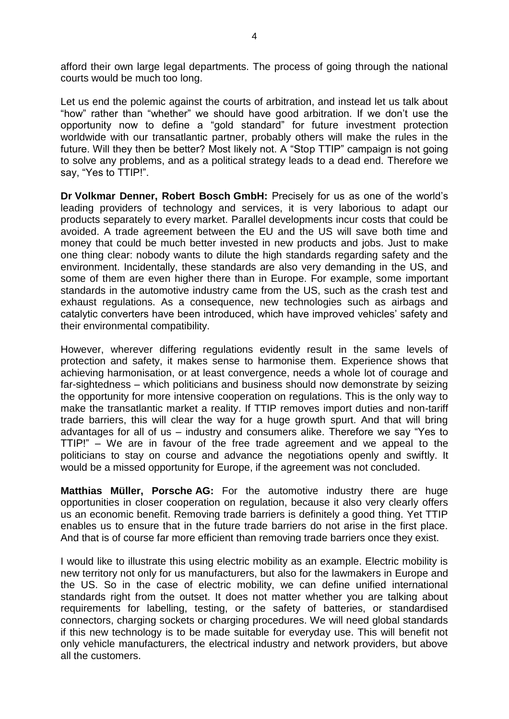afford their own large legal departments. The process of going through the national courts would be much too long.

Let us end the polemic against the courts of arbitration, and instead let us talk about "how" rather than "whether" we should have good arbitration. If we don't use the opportunity now to define a "gold standard" for future investment protection worldwide with our transatlantic partner, probably others will make the rules in the future. Will they then be better? Most likely not. A "Stop TTIP" campaign is not going to solve any problems, and as a political strategy leads to a dead end. Therefore we say, "Yes to TTIP!".

**Dr Volkmar Denner, Robert Bosch GmbH:** Precisely for us as one of the world's leading providers of technology and services, it is very laborious to adapt our products separately to every market. Parallel developments incur costs that could be avoided. A trade agreement between the EU and the US will save both time and money that could be much better invested in new products and jobs. Just to make one thing clear: nobody wants to dilute the high standards regarding safety and the environment. Incidentally, these standards are also very demanding in the US, and some of them are even higher there than in Europe. For example, some important standards in the automotive industry came from the US, such as the crash test and exhaust regulations. As a consequence, new technologies such as airbags and catalytic converters have been introduced, which have improved vehicles' safety and their environmental compatibility.

However, wherever differing regulations evidently result in the same levels of protection and safety, it makes sense to harmonise them. Experience shows that achieving harmonisation, or at least convergence, needs a whole lot of courage and far-sightedness – which politicians and business should now demonstrate by seizing the opportunity for more intensive cooperation on regulations. This is the only way to make the transatlantic market a reality. If TTIP removes import duties and non-tariff trade barriers, this will clear the way for a huge growth spurt. And that will bring advantages for all of us – industry and consumers alike. Therefore we say "Yes to TTIP!" – We are in favour of the free trade agreement and we appeal to the politicians to stay on course and advance the negotiations openly and swiftly. It would be a missed opportunity for Europe, if the agreement was not concluded.

**Matthias Müller, Porsche AG:** For the automotive industry there are huge opportunities in closer cooperation on regulation, because it also very clearly offers us an economic benefit. Removing trade barriers is definitely a good thing. Yet TTIP enables us to ensure that in the future trade barriers do not arise in the first place. And that is of course far more efficient than removing trade barriers once they exist.

I would like to illustrate this using electric mobility as an example. Electric mobility is new territory not only for us manufacturers, but also for the lawmakers in Europe and the US. So in the case of electric mobility, we can define unified international standards right from the outset. It does not matter whether you are talking about requirements for labelling, testing, or the safety of batteries, or standardised connectors, charging sockets or charging procedures. We will need global standards if this new technology is to be made suitable for everyday use. This will benefit not only vehicle manufacturers, the electrical industry and network providers, but above all the customers.